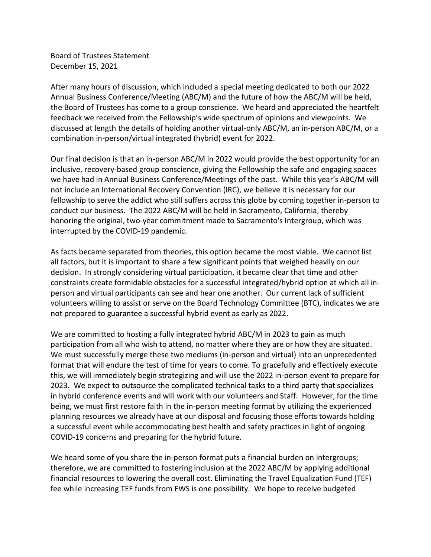Board of Trustees Statement December 15, 2021

After many hours of discussion, which included a special meeting dedicated to both our 2022 Annual Business Conference/Meeting (ABC/M) and the future of how the ABC/M will be held, the Board of Trustees has come to a group conscience. We heard and appreciated the heartfelt feedback we received from the Fellowship's wide spectrum of opinions and viewpoints. We discussed at length the details of holding another virtual-only ABC/M, an in-person ABC/M, or a combination in-person/virtual integrated (hybrid) event for 2022.

Our final decision is that an in-person ABC/M in 2022 would provide the best opportunity for an inclusive, recovery-based group conscience, giving the Fellowship the safe and engaging spaces we have had in Annual Business Conference/Meetings of the past. While this year's ABC/M will not include an International Recovery Convention (IRC), we believe it is necessary for our fellowship to serve the addict who still suffers across this globe by coming together in-person to conduct our business. The 2022 ABC/M will be held in Sacramento, California, thereby honoring the original, two-year commitment made to Sacramento's Intergroup, which was interrupted by the COVID-19 pandemic.

As facts became separated from theories, this option became the most viable. We cannot list all factors, but it is important to share a few significant points that weighed heavily on our decision. In strongly considering virtual participation, it became clear that time and other constraints create formidable obstacles for a successful integrated/hybrid option at which all inperson and virtual participants can see and hear one another. Our current lack of sufficient volunteers willing to assist or serve on the Board Technology Committee (BTC), indicates we are not prepared to guarantee a successful hybrid event as early as 2022.

We are committed to hosting a fully integrated hybrid ABC/M in 2023 to gain as much participation from all who wish to attend, no matter where they are or how they are situated. We must successfully merge these two mediums (in-person and virtual) into an unprecedented format that will endure the test of time for years to come. To gracefully and effectively execute this, we will immediately begin strategizing and will use the 2022 in-person event to prepare for 2023. We expect to outsource the complicated technical tasks to a third party that specializes in hybrid conference events and will work with our volunteers and Staff. However, for the time being, we must first restore faith in the in-person meeting format by utilizing the experienced planning resources we already have at our disposal and focusing those efforts towards holding a successful event while accommodating best health and safety practices in light of ongoing COVID-19 concerns and preparing for the hybrid future.

We heard some of you share the in-person format puts a financial burden on intergroups; therefore, we are committed to fostering inclusion at the 2022 ABC/M by applying additional financial resources to lowering the overall cost. Eliminating the Travel Equalization Fund (TEF) fee while increasing TEF funds from FWS is one possibility. We hope to receive budgeted